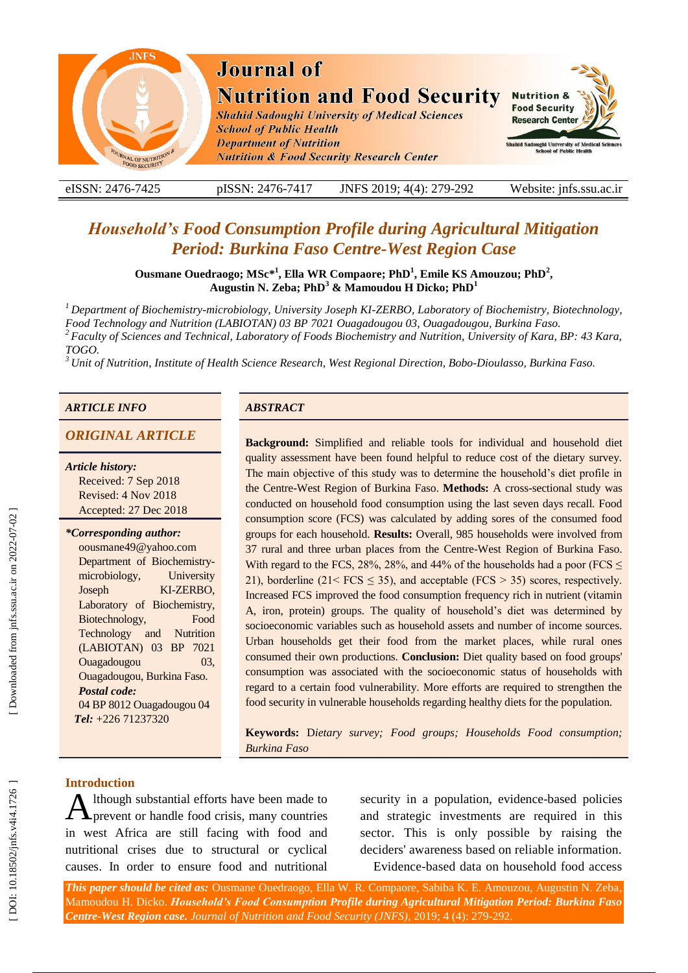

eISSN: 2476-7425 pISSN: 2476-7417 -7417 JNFS 201 9; 4 ( 4): 279 Website: jnfs.ssu.ac.ir

# *Household's Food Consumption Profile during Agricultural Mitigation*  **Period: Burkina Faso Centre-West Region Case**

**Ousmane Ouedraogo; MSc\* 1 , Ella WR Compaore; PhD 1 , Emile KS Amouzou; PhD 2 , Augustin N. Zeba; PhD 3 & Mamoudou H Dicko; PhD 1**

<sup>1</sup> Department of Biochemistry-microbiology, University Joseph KI-ZERBO, Laboratory of Biochemistry, Biotechnology, *Food Technology and Nutrition (LABIOTAN) 03 BP 7021 Ouagadougou 03, Ouagadougou, Burkina Faso.* 

*<sup>2</sup> Faculty of Sciences and Technical, Laboratory of Foods Biochemistry and Nutrition, University of Kara, BP: 43 Kara,* 

*TOGO. <sup>3</sup> Unit of Nutrition, Institute of Health Science Research, West Regional Direction, Bobo -Dioulasso, Burkina Faso.*

#### *ARTICLE INFO ABSTRACT*

## **ORIGINAL ARTICLE**

#### *Article history:*

Received: 7 Sep 2018 Revised: 4 Nov 2018 Accepted: 27 Dec 2018

#### *\*Corresponding author:*

oousmane49@yahoo.com Department of Biochemistry microbiology, University **Joseph** KI-ZERBO, Laboratory of Biochemistry, Biotechnology, Food Technology and Nutrition (LABIOTAN) 03 BP 7021 Ouagadougou 03, Ouagadougou, Burkina Faso. *Postal code:* 04 BP 8012 Ouagadougou 04  *Tel:* +226 71237320

**Background:** Simplified and reliable tools for individual and household diet quality assessment have been found helpful to reduce cost of the dietary survey. The main objective of this study was to determine the household's diet profile in the Centre-West Region of Burkina Faso. Methods: A cross-sectional study was conducted on household food consumption using the last seven days recall. Food consumption score (FCS) was calculated by adding sores of the consumed food groups for each household. **Results:** Overall, 985 households were involved from 37 rural and three urban places from the Centre -West Region of Burkina Faso. With regard to the FCS, 28%, 28%, and 44% of the households had a poor (FCS  $\leq$ 21), borderline (21<  $FCS \le 35$ ), and acceptable ( $FCS \ge 35$ ) scores, respectively. Increased FCS improved the food consumption frequency rich in nutrient (vitamin A, iron, protein) groups. The quality of household's diet was determined by socioeconomic variables such as household assets and number of income sources. Urban households get their food from the market places, while rural ones consumed their own productions. **Conclusion:** Diet quality based on food groups' consumption was associated with the socioeconomic status of households with regard to a certain food vulnerability. More efforts are required to strengthen the food security in vulnerable households regarding healthy diets for the population.

**Keywords:** D*ietary survey; Food groups; Households Food consumption; Burkina Faso*

### **Introduction**

lthough substantial efforts have been made to prevent or handle food crisis , many countries in west Africa are still facing with food and nutritional crises due to structural or cyclical causes. In order to ensure food and nutritional A

security in a population, evidence-based policies and strategic investments are required in this sector. This is only possible by raising the deciders' awareness based on reliable information. Evidence -based data on household food access

*This paper should be cited as:* Ousmane Ouedraogo, Ella W. R. Compaore, Sabiba K. E. Amouzou, Augustin N. Zeba, Mamoudou H. Dicko . *Household's Food Consumption Profile during Agricultural Mitigation Period: Burkina Faso Centre -West Region case. Journal of Nutrition and Food Security (JNFS)*, 201 9; 4 (4): 279 -292.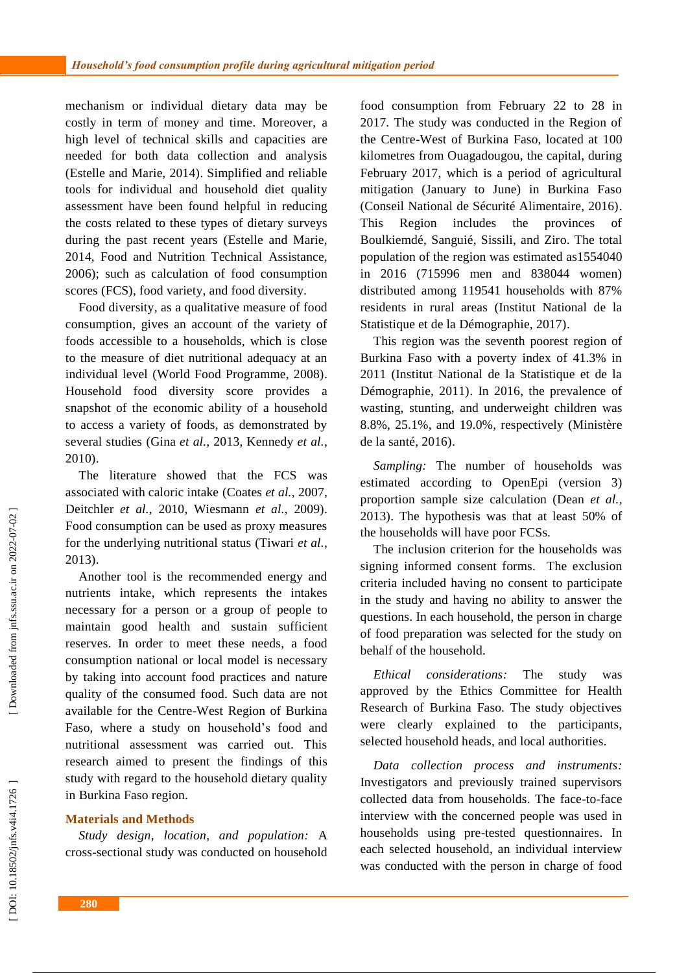mechanism or individual dietary data may be costly in term of money and time. Moreover, a high level of technical skills and capacities are needed for both data collection and analysis (Estelle and Marie, 2014). Simplified and reliable tools for individual and household diet quality assessment have been found helpful in reducing the cost s related to these types of dietary survey s during the past recent years (Estelle and Marie, 2014, Food and Nutrition Technical Assistance, 2006) ; such as calculation of food consumption scores (FCS), food variety , and food diversity.

Food diversity, as a qualitative measure of food consumption, gives an account of the variety of foods accessible to a households, which is close to the measure of diet nutritional adequacy at an individual level (World Food Programme, 2008). Household food diversity score provides a snapshot of the economic ability of a household to access a variety of foods, as demonstrated by several studies (Gina *et al.*, 2013, Kennedy *et al.*, 2010) .

The literature showed that the FCS was associated with caloric intake (Coates *et al.*, 2007, Deitchler *et al.*, 2010, Wiesmann *et al.*, 2009). Food consumption can be used as proxy measures for the underlying nutritional status (Tiwari *et al.*, 2013) .

Another tool is the recommended energy and nutrients intake , which represent s the intakes necessary for a person or a group of people to maintain good health and sustain sufficient reserves. In order to meet these needs, a food consumption national or local model is necessary by taking into account food practices and nature quality of the consumed food. Such data are not available for the Centre -West Region of Burkina Faso, where a study on household's food and nutritional assessment was carried out. This research aimed to present the findings of this study with regard to the household dietary quality in Burkina Faso region.

#### **Materials and Methods**

*Study design, location, and population :* A cross -sectional study was conducted on household food consumption from February 22 to 28 in 2017. The study was conducted in the Region of the Centre -West of Burkina Faso, located at 100 kilometres from Ouagadougou, the capital, during February 2017 , which is a period of agricultural mitigation (January to June) in Burkina Faso (Conseil National de Sécurité Alimentaire, 2016). This Region includes the provinces Boulkiemdé, Sanguié, Sissili, and Ziro. The total population of the region was estimated as1554040 in 2016 (715996 men and 838044 women) distributed among 119541 households with 87% residents in rural areas (Institut National de la Statistique et de la Démographie, 2017).

This region was the seventh poorest region of Burkina Faso with a poverty index of 41.3% in 2011 (Institut National de la Statistique et de la Démographie, 2011) . In 2016 , the prevalence of wasting, stunting , and underweight children was 8.8%, 25.1% , and 19.0% , respectively (Ministère de la santé, 2016) .

*Sampling :* The number of households was estimated according to OpenEpi (version 3) proportion sample size calculation (Dean *et al.*, 2013). The hypothesis was that at least 50% of the households will have poor FCS s.

The inclusion criterion for the households was signing informed consent form s. The exclusion criteria included having no consent to participate in the study and having no ability to answer the questions. In each household , the person in charge of food preparation was selected for the study on beh alf of the household.

*Ethical considerations* The study was approved by the Ethics Committee for Health Research of Burkina Faso. The study objectives were clearly explained to the participants, selected household heads , and local authorities.

*Data collection process and instruments :* Investigators and previously trained supervisors collected data fro m households. The face -to -face interview with the concerned people was used in households using pre -tested questionnaires. In each selected household , an individual interview was conducted with the person in charge of food

Downloaded from jnfs.ssu.ac.ir on 2022-07-02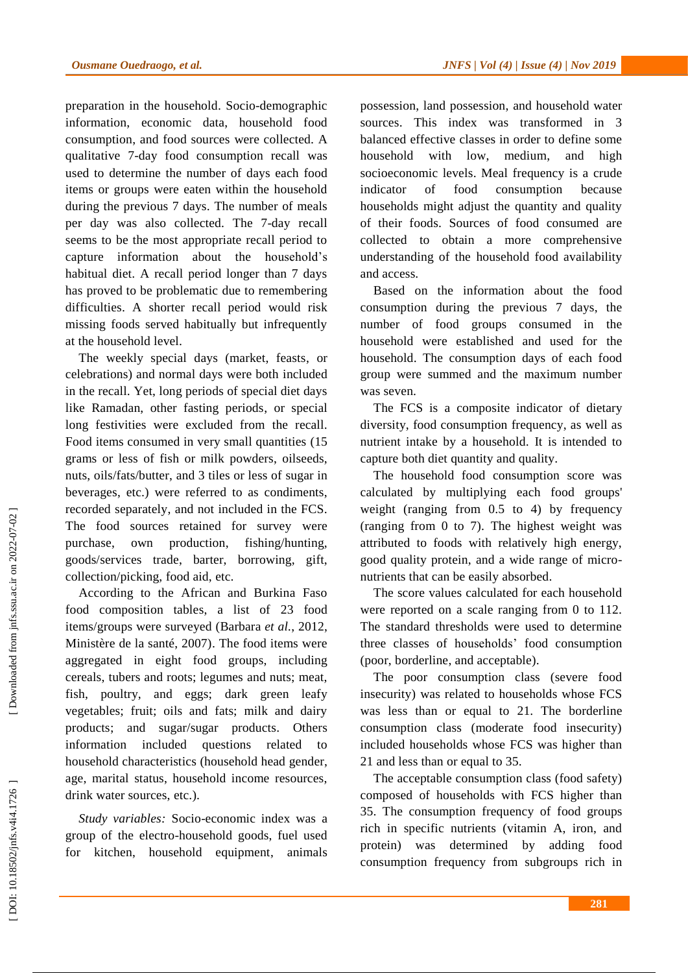preparation in the household. Socio -demographic information, economic data, household food consumption , and food sources were collected . A qualitative 7 -day food consumption recall was used to determine the number of day s each food item s or groups were eaten within the household during the previous 7 days. The number of meals per day was also collected. The 7 -day recall seems to be the most appropriate recall period to capture information about the household's habitual diet. A recall period longer than 7 days has proved to be problematic due to remembering difficulties. A shorter recall period would risk missing foods served habitually but infrequently at the household level.

The weekly special days (market, feasts , or celebrations) and normal days were both included in the recall. Yet, long periods of special diet days like Ramadan, other fasting periods , or special long festivities were excluded from the recall. Food items consumed in very small quantities (15 grams or less of fish or milk powder s, oilseeds, nuts, oil s/fat s/butter, and 3 tiles or less of sugar in beverages, etc.) were referred to as condiments, recorded separately , and not included in the FCS . The food sources retained for survey were purchase , own production , fishing/hunting, goods/services trade, barter , borrowing , gift , collection/picking, food aid, etc .

According to the African and Burkina Faso food composition table s , a list of 23 food items/groups were surveyed (Barbara *et al.*, 2012, Ministère de la santé, 2007). The food items were aggregated in eight food groups, including cereals, tubers and roots; legumes and nuts; meat, fish, poultry, and eggs; dark green leafy vegetables; fruit; oils and fats; milk and dairy products; and sugar/sugar products . Others information included questions related to household characteristics (household head gender, age, marital status, household income resources, drink water sources, etc. ).

Study variables: Socio-economic index was a group of the electro -household goods, fuel used for kitchen, household equipment, animals

possession, land possession , and household water sources. This index was transformed in 3 balanced effective classes in order to define some household with low, medium , and high socioeconomic level s . Meal frequency is a crude indicator of food consumption because households might adjust the quantity and quality of their food s . Sources of food consumed are collected to obtain a more comprehensive understanding of the household food availability and access.

Based on the information about the food consumption during the previous 7 days, the number of food groups consumed in the household were established and used for the household . The consumption days of each food group were summed and the maximum number was seven.

The FCS is a composite indicator of dietary diversity, food consumption frequency , as well as nutrient intake by a household. It is intended to capture both diet quantity and quality.

The household food consumption score was calculated by multiplying each food groups' weight (ranging from 0.5 to 4) by frequency (ranging from 0 to 7). The highest weight was attributed to foods with relatively high energy, good quality protein , and a wide range of micro nutrients that can be easily absorbed.

The score values calculated for each household were reported on a scale ranging from 0 to 112. The standard thresholds were used to determine three classes of households' food consumption (poor, borderline , and acceptable).

The poor consumption class (severe food insecurity) was related to households whose FCS was less than or equal to 21. The borderline consumption class (moderate food insecurity) include d households whose FCS was higher than 21 and less than or equal to 35.

The acceptable consumption class (food safety) composed of households with FCS higher than 35. The consumption frequency of food groups rich in specific nutrients (vitamin A, iron, and protein) was determined by adding food consumption frequency from subgroups rich in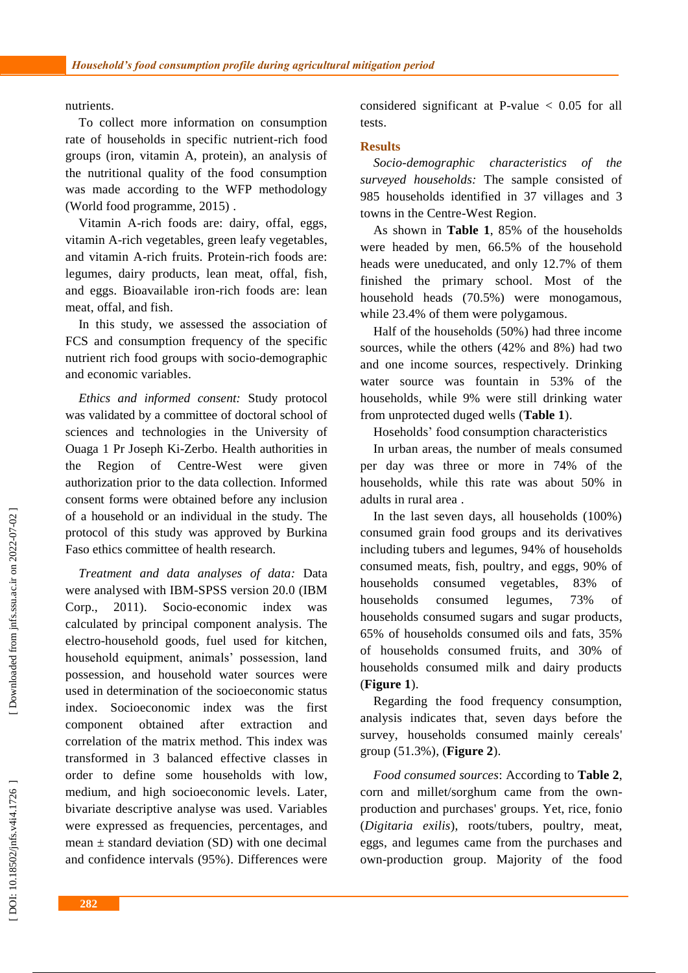nutrients.

To collect more information on consumption rate of households in specific nutrient -rich food group s (iron, vitamin A, protein), an analysis of the nutritional quality of the food consumption was made according to the WFP methodology (World food programme, 2015) .

Vitamin A -rich foods are: dairy, offal, eggs, vitamin A -rich vegetables, green leafy vegetables , and vitamin A -rich fruits. Protein -rich foods are: legumes, dairy products, lean meat, offal, fish , and eggs. Bioavailable iron -rich foods are: lean meat, offal , and fish.

In this study, we assessed the association of FCS and consumption frequency of the specific nutrient rich food groups with socio -demographic and economic variables.

*Ethics and informed consent:* Study protocol was validated by a committee of doctoral school of sciences and technologies in the University of Ouaga 1 Pr Joseph Ki -Zerbo. Health authorities in the Region of Centre -West were given authorization prior to the data collection. Informed consent forms were obtained before any inclusion of a household or an individual in the study. The protocol of this study was approved by Burkina Faso ethics committee of health research.

*Treatment and data analyses of data :* Data were analysed with IBM -SPSS version 20.0 (IBM Corp.,  $2011$ ). Socio-economic index was calculated by principal component analysis. The electro -household goods, fuel used for kitchen, household equipment, animals' possession, land possession , and household water sources were used in determination of the socioeconomic status index. Socioeconomic index was the first component obtained after extraction and correlation of the matrix method. This index was transformed in 3 balanced effective classes in order to define some household s with low, medium , and high socioeconomic level s . Later, bivariate descriptive analyse was used. Variables were expressed as frequencies, percentages, and mean  $\pm$  standard deviation (SD) with one decimal and confidence intervals (95%) . Differences were

considered significant at P-value  $< 0.05$  for all tests.

#### **Results**

*Socio*  $characteristics$  of the *surveyed households :* The sample consisted of 985 households identified in 37 villages and 3 towns in the Centre -West Region.

As shown in **Table 1**, 85% of the household s were headed by men, 66.5 % of the household heads were uneducated , and only 12.7% of them finished the primary school. Most of the household head s (70.5%) were monogamous, while 23.4% of them were polygamous.

Half of the households (50%) had three income sources, while the others (42% and 8%) had two and one income sources, respectively. Drinking water source was fountain in 53% of the household s , while 9% were still drinking water from unprotected duged wells ( **Table 1**).

Hosehold s' food consumption characteristics

In urban area s , the number of meals consumed per day was three or more in 74% of the households, while this rate was about 50% in adults in rural area .

In the last seven days, all households (100%) consumed grain food group s and its derivatives including tubers and legumes, 94% of households consumed meats, fish, poultry , and eggs, 90% of households consumed vegetables, 83% of households consumed legumes, 73% of households consumed sugars and sugar products, 65% of households consumed oils and fats, 35% of households consumed fruit s , and 30% of households consumed milk and dairy products (**Figure 1**).

Regarding the food frequency consumption, analysis indicates that , seven days before the survey, households consumed mainly cereals' group (51.3%), ( **Figure 2**).

*Food consumed sources* : According to **Table 2**, corn and millet/sorghum came from the own production and purchases' groups . Yet, rice, fonio (*Digitaria exilis* ), roots/tubers, poultry, meat, eggs, and legumes came from the purchases and own -production group . Majority of the food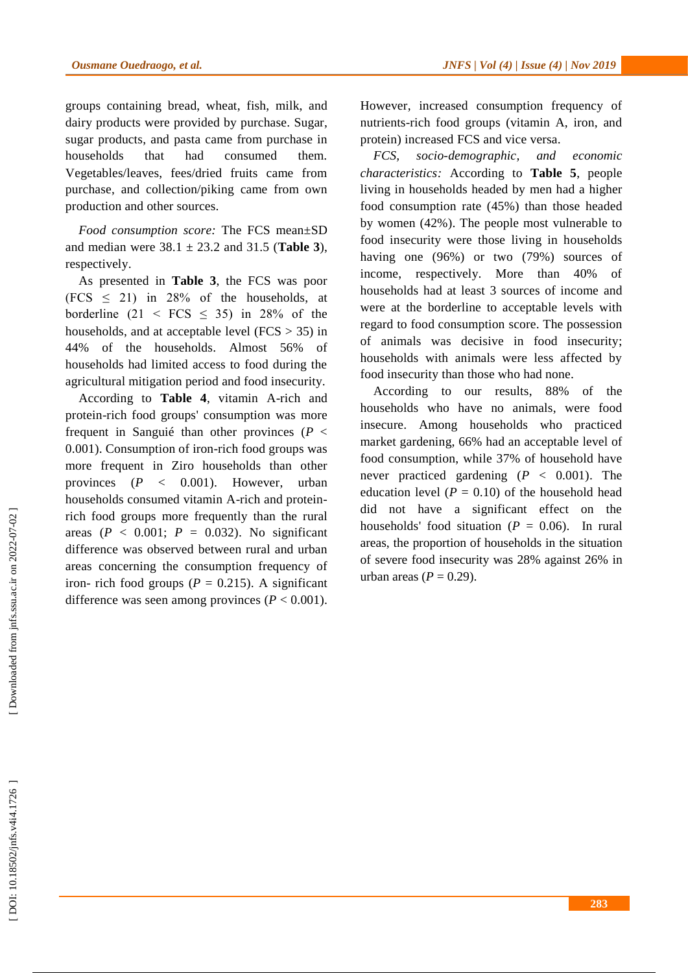groups containing bread , wheat, fish, milk , and dairy products were provided by purchase. Sugar , sugar products, and pasta came from purchase in households that had consumed them. Vegetables/leaves, fees/dried fruits came from purchase, and collection/piking came from own production and other sources.

*Food consumption score:* The FCS mean±SD and median were  $38.1 \pm 23.2$  and  $31.5$  (**Table 3**), respectively .

As presented in **Table 3**, the FCS was poor (FCS  $\leq$  21) in 28% of the households, at borderline  $(21 \leq FCS \leq 35)$  in 28% of the households , and at acceptable level (FCS > 35) in 44% of the households. Almost 56% of households had limited access to food during the agricultural mitigation period and food insecurity.

According to **Table 4**, vitamin A -rich and protein -rich food groups' consumption was more frequent in Sanguié than other provinces ( $P <$ 0.00 1 ). Consumption of iron -rich food groups was more frequent in Ziro households than other provinces  $(P \lt 0.001)$ . However, urban households consumed vitamin A -rich and protein rich food groups more frequently than the rural areas ( $P < 0.001$ ;  $P = 0.032$ ). No significant difference was observed between rural and urban areas concerning the consumption frequency of iron- rich food groups ( $P = 0.215$ ). A significant difference was seen among provinces ( $P < 0.001$ ).

However, increased consumption frequency of nutrients -rich food groups (vitamin A, iron, and protein) increased FCS and vice versa.

*FCS, socio -demographic , and economic characteristics :* According to **Table 5**, people living in households headed by men had a higher food consumption rate (45%) than those headed by women (42%). The people most vulnerable to food insecurity were those living in households having one (96%) or two (79%) sources of income , respectively. More than 40% of households had at least 3 sources of income and were at the borderline to acceptable levels with regard to food consumption score . The possession of animals was decisive in food insecurity ; households with animals were less affected by food insecurity than those who had none.

According to our results, 88% of the households who have no animals , were food insecure. Among households who practiced market gardening, 66% had an acceptable level of food consumption, while 37% of household have never practiced gardening  $(P < 0.001)$ . The education level  $(P = 0.10)$  of the household head did not have a significant effect on the households' food situation  $(P = 0.06)$ . In rural are a s, the proportion of households in the situation of severe food insecurity was 28% against 26% in urban areas  $(P = 0.29)$ .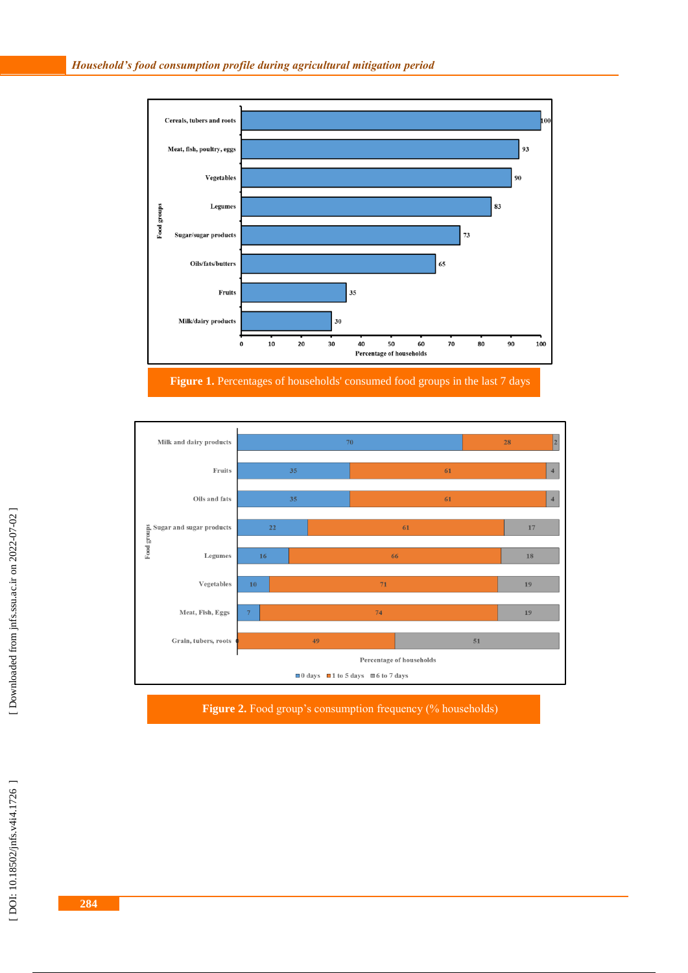

**Figure 1 .** Percentages of households' consumed food groups in the last 7 days



**Figure 2 .** Food group's consumption frequency (% households)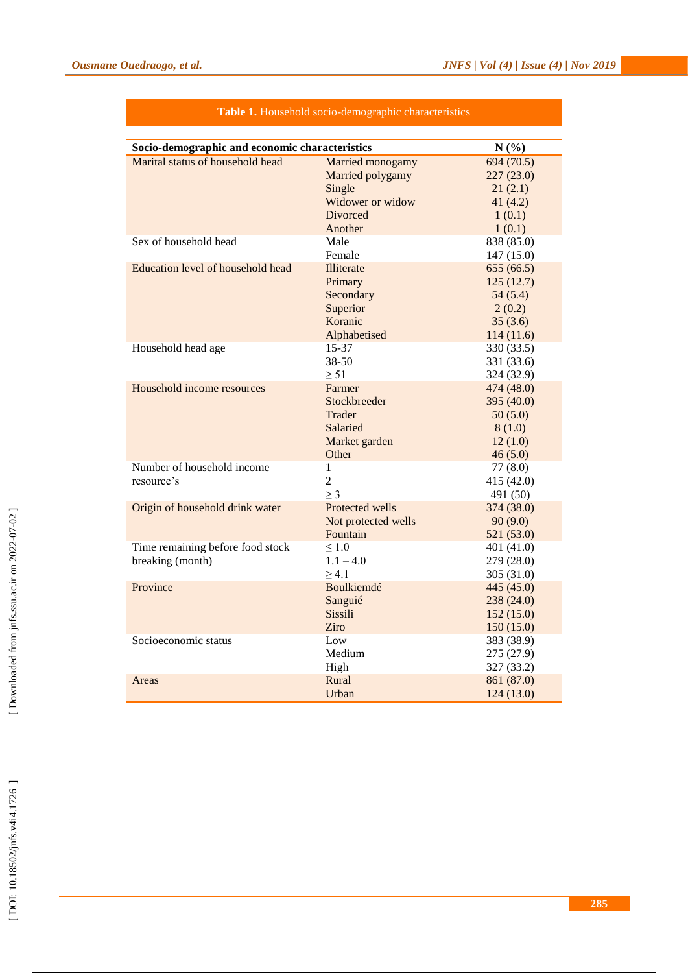| Socio-demographic and economic characteristics<br>N(%) |                     |            |  |  |  |  |  |  |
|--------------------------------------------------------|---------------------|------------|--|--|--|--|--|--|
| Marital status of household head                       | Married monogamy    | 694 (70.5) |  |  |  |  |  |  |
|                                                        | Married polygamy    | 227(23.0)  |  |  |  |  |  |  |
|                                                        | Single              | 21(2.1)    |  |  |  |  |  |  |
|                                                        | Widower or widow    | 41(4.2)    |  |  |  |  |  |  |
|                                                        | <b>Divorced</b>     | 1(0.1)     |  |  |  |  |  |  |
|                                                        | Another             | 1(0.1)     |  |  |  |  |  |  |
| Sex of household head                                  | Male                | 838 (85.0) |  |  |  |  |  |  |
|                                                        | Female              | 147(15.0)  |  |  |  |  |  |  |
| Education level of household head                      | Illiterate          | 655(66.5)  |  |  |  |  |  |  |
|                                                        | Primary             | 125(12.7)  |  |  |  |  |  |  |
|                                                        | Secondary           | 54(5.4)    |  |  |  |  |  |  |
|                                                        | Superior            | 2(0.2)     |  |  |  |  |  |  |
|                                                        | Koranic             | 35(3.6)    |  |  |  |  |  |  |
|                                                        | Alphabetised        | 114(11.6)  |  |  |  |  |  |  |
| Household head age                                     | $15 - 37$           | 330 (33.5) |  |  |  |  |  |  |
|                                                        | 38-50               | 331 (33.6) |  |  |  |  |  |  |
|                                                        | $\geq 51$           | 324 (32.9) |  |  |  |  |  |  |
| Household income resources                             | Farmer              | 474 (48.0) |  |  |  |  |  |  |
|                                                        | Stockbreeder        | 395 (40.0) |  |  |  |  |  |  |
|                                                        | Trader              | 50(5.0)    |  |  |  |  |  |  |
|                                                        | Salaried            | 8(1.0)     |  |  |  |  |  |  |
|                                                        | Market garden       | 12(1.0)    |  |  |  |  |  |  |
|                                                        | Other               | 46(5.0)    |  |  |  |  |  |  |
| Number of household income                             | 1                   | 77(8.0)    |  |  |  |  |  |  |
| resource's                                             | $\overline{2}$      | 415 (42.0) |  |  |  |  |  |  |
|                                                        | $\geq$ 3            | 491 (50)   |  |  |  |  |  |  |
| Origin of household drink water                        | Protected wells     | 374 (38.0) |  |  |  |  |  |  |
|                                                        | Not protected wells | 90(9.0)    |  |  |  |  |  |  |
|                                                        | Fountain            | 521 (53.0) |  |  |  |  |  |  |
| Time remaining before food stock                       | ${}_{\leq 1.0}$     | 401 (41.0) |  |  |  |  |  |  |
| breaking (month)                                       | $1.1 - 4.0$         | 279 (28.0) |  |  |  |  |  |  |
|                                                        | $\geq 4.1$          | 305(31.0)  |  |  |  |  |  |  |
| Province                                               | Boulkiemdé          | 445 (45.0) |  |  |  |  |  |  |
|                                                        | Sanguié             | 238 (24.0) |  |  |  |  |  |  |
|                                                        | Sissili             | 152(15.0)  |  |  |  |  |  |  |
|                                                        | Ziro                | 150(15.0)  |  |  |  |  |  |  |
| Socioeconomic status                                   | Low                 | 383 (38.9) |  |  |  |  |  |  |
|                                                        | Medium              | 275 (27.9) |  |  |  |  |  |  |
|                                                        | High                | 327 (33.2) |  |  |  |  |  |  |
| Areas                                                  | Rural               | 861 (87.0) |  |  |  |  |  |  |
|                                                        | Urban               | 124(13.0)  |  |  |  |  |  |  |

### Table 1. Household socio-demographic characteristics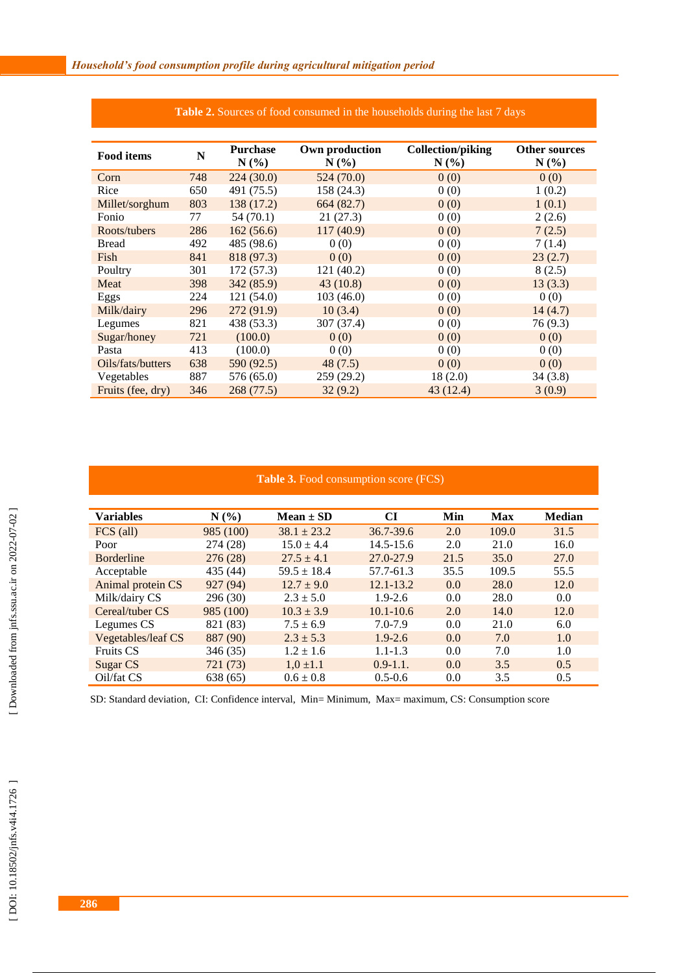| <b>Food items</b> | N   | <b>Purchase</b> | Own production | <b>Collection/piking</b> | <b>Other sources</b> |
|-------------------|-----|-----------------|----------------|--------------------------|----------------------|
|                   |     | $N(\%)$         | $N(\%)$        | $N(\%)$                  | $N(\%)$              |
| Corn              | 748 | 224(30.0)       | 524(70.0)      | 0(0)                     | 0(0)                 |
| Rice              | 650 | 491 (75.5)      | 158 (24.3)     | 0(0)                     | 1(0.2)               |
| Millet/sorghum    | 803 | 138 (17.2)      | 664(82.7)      | 0(0)                     | 1(0.1)               |
| Fonio             | 77  | 54(70.1)        | 21 (27.3)      | 0(0)                     | 2(2.6)               |
| Roots/tubers      | 286 | 162(56.6)       | 117(40.9)      | 0(0)                     | 7(2.5)               |
| <b>Bread</b>      | 492 | 485 (98.6)      | 0(0)           | 0(0)                     | 7(1.4)               |
| Fish              | 841 | 818 (97.3)      | 0(0)           | 0(0)                     | 23(2.7)              |
| Poultry           | 301 | 172 (57.3)      | 121 (40.2)     | 0(0)                     | 8(2.5)               |
| Meat              | 398 | 342 (85.9)      | 43(10.8)       | 0(0)                     | 13(3.3)              |
| Eggs              | 224 | 121 (54.0)      | 103(46.0)      | 0(0)                     | 0(0)                 |
| Milk/dairy        | 296 | 272 (91.9)      | 10(3.4)        | 0(0)                     | 14(4.7)              |
| Legumes           | 821 | 438 (53.3)      | 307 (37.4)     | 0(0)                     | 76 (9.3)             |
| Sugar/honey       | 721 | (100.0)         | 0(0)           | 0(0)                     | 0(0)                 |
| Pasta             | 413 | (100.0)         | 0(0)           | 0(0)                     | 0(0)                 |
| Oils/fats/butters | 638 | 590 (92.5)      | 48(7.5)        | 0(0)                     | 0(0)                 |
| Vegetables        | 887 | 576 (65.0)      | 259 (29.2)     | 18(2.0)                  | 34(3.8)              |
| Fruits (fee, dry) | 346 | 268 (77.5)      | 32(9.2)        | 43 (12.4)                | 3(0.9)               |

#### **Table 2 .** Sources of food consumed in the households during the last 7 days

#### **Table 3 .** Food consumption score (FCS)

| <b>Variables</b>   | N(%)      | $Mean \pm SD$   | CI            | Min  | <b>Max</b> | <b>Median</b> |
|--------------------|-----------|-----------------|---------------|------|------------|---------------|
| FCS (all)          | 985 (100) | $38.1 \pm 23.2$ | 36.7-39.6     | 2.0  | 109.0      | 31.5          |
| Poor               | 274 (28)  | $15.0 \pm 4.4$  | 14.5-15.6     | 2.0  | 21.0       | 16.0          |
| <b>B</b> orderline | 276(28)   | $27.5 \pm 4.1$  | 27.0-27.9     | 21.5 | 35.0       | 27.0          |
| Acceptable         | 435 (44)  | $59.5 \pm 18.4$ | 57.7-61.3     | 35.5 | 109.5      | 55.5          |
| Animal protein CS  | 927 (94)  | $12.7 \pm 9.0$  | $12.1 - 13.2$ | 0.0  | 28.0       | 12.0          |
| Milk/dairy CS      | 296 (30)  | $2.3 \pm 5.0$   | $1.9 - 2.6$   | 0.0  | 28.0       | 0.0           |
| Cereal/tuber CS    | 985 (100) | $10.3 \pm 3.9$  | $10.1 - 10.6$ | 2.0  | 14.0       | 12.0          |
| Legumes CS         | 821 (83)  | $7.5 \pm 6.9$   | $7.0 - 7.9$   | 0.0  | 21.0       | 6.0           |
| Vegetables/leaf CS | 887 (90)  | $2.3 \pm 5.3$   | $1.9 - 2.6$   | 0.0  | 7.0        | 1.0           |
| <b>Fruits CS</b>   | 346 (35)  | $1.2 \pm 1.6$   | $1.1 - 1.3$   | 0.0  | 7.0        | 1.0           |
| Sugar CS           | 721 (73)  | $1.0 \pm 1.1$   | $0.9 - 1.1$ . | 0.0  | 3.5        | 0.5           |
| Oil/fat CS         | 638 (65)  | $0.6 \pm 0.8$   | $0.5 - 0.6$   | 0.0  | 3.5        | 0.5           |

SD: Standard deviation, CI: Confidence interval, Min= Minimum, Max= maximum, CS: Consumption score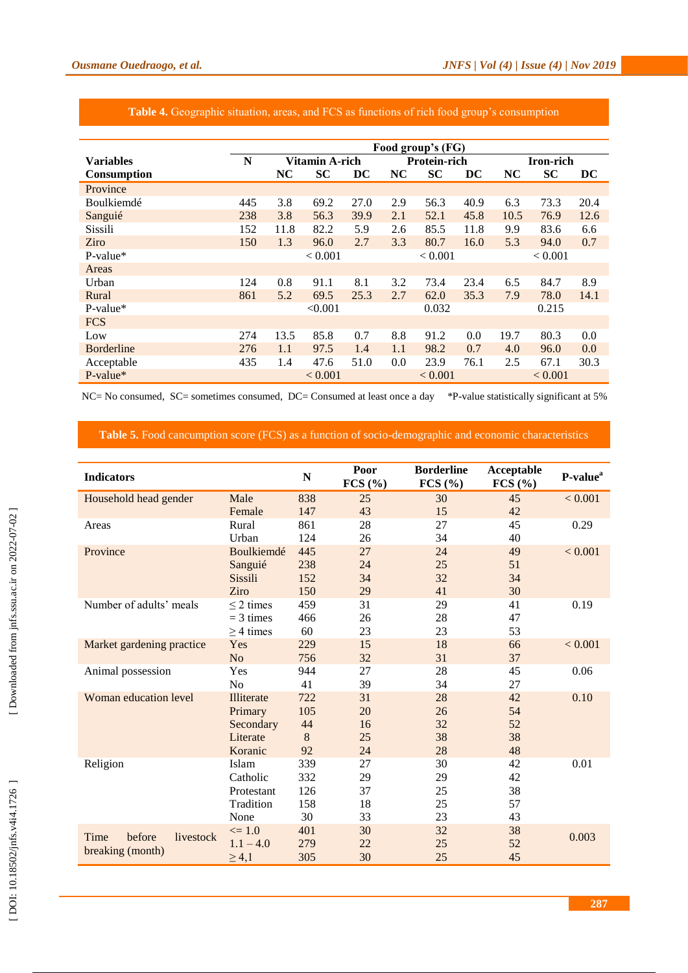|                   | Food group's (FG) |                       |           |                 |           |                |       |           |           |          |
|-------------------|-------------------|-----------------------|-----------|-----------------|-----------|----------------|-------|-----------|-----------|----------|
| <b>Variables</b>  | N                 | <b>Vitamin A-rich</b> |           | Protein-rich    |           |                |       | Iron-rich |           |          |
| Consumption       |                   | NC                    | <b>SC</b> | $\overline{DC}$ | <b>NC</b> | <b>SC</b>      | DC    | <b>NC</b> | <b>SC</b> | $\bf DC$ |
| Province          |                   |                       |           |                 |           |                |       |           |           |          |
| Boulkiemdé        | 445               | 3.8                   | 69.2      | 27.0            | 2.9       | 56.3           | 40.9  | 6.3       | 73.3      | 20.4     |
| Sanguié           | 238               | 3.8                   | 56.3      | 39.9            | 2.1       | 52.1           | 45.8  | 10.5      | 76.9      | 12.6     |
| Sissili           | 152               | 11.8                  | 82.2      | 5.9             | 2.6       | 85.5           | 11.8  | 9.9       | 83.6      | 6.6      |
| Ziro              | 150               | 1.3                   | 96.0      | 2.7             | 3.3       | 80.7           | 16.0  | 5.3       | 94.0      | 0.7      |
| P-value*          |                   | < 0.001               |           | < 0.001         |           | ${}_{< 0.001}$ |       |           |           |          |
| Areas             |                   |                       |           |                 |           |                |       |           |           |          |
| Urban             | 124               | 0.8                   | 91.1      | 8.1             | 3.2       | 73.4           | 23.4  | 6.5       | 84.7      | 8.9      |
| Rural             | 861               | 5.2                   | 69.5      | 25.3            | 2.7       | 62.0           | 35.3  | 7.9       | 78.0      | 14.1     |
| $P-value*$        |                   |                       | < 0.001   |                 | 0.032     |                | 0.215 |           |           |          |
| <b>FCS</b>        |                   |                       |           |                 |           |                |       |           |           |          |
| Low               | 274               | 13.5                  | 85.8      | 0.7             | 8.8       | 91.2           | 0.0   | 19.7      | 80.3      | 0.0      |
| <b>Borderline</b> | 276               | 1.1                   | 97.5      | 1.4             | 1.1       | 98.2           | 0.7   | 4.0       | 96.0      | 0.0      |
| Acceptable        | 435               | 1.4                   | 47.6      | 51.0            | 0.0       | 23.9           | 76.1  | 2.5       | 67.1      | 30.3     |
| $P-value*$        |                   | < 0.001               |           | < 0.001         |           | ${}_{< 0.001}$ |       |           |           |          |

## **Table 4 .** Geographic situation, areas, and FCS as functions of rich food group's consumption

NC= No consumed, SC= sometimes consumed, DC= Consumed at least once a day \*P-value statistically significant at 5%

#### **Table 5.** Food cancumption score (FCS) as a function of socio-demographic and economic characteristics

| <b>Indicators</b>             |                | $\mathbf N$ | Poor<br>FCS (%) | <b>Borderline</b><br>FCS (%) | Acceptable<br>FCS (%) | P-value <sup>a</sup> |
|-------------------------------|----------------|-------------|-----------------|------------------------------|-----------------------|----------------------|
| Household head gender         | Male           | 838         | 25              | 30                           | 45                    | < 0.001              |
|                               | Female         | 147         | 43              | 15                           | 42                    |                      |
| Areas                         | Rural          | 861         | 28              | 27                           | 45                    | 0.29                 |
|                               | Urban          | 124         | 26              | 34                           | 40                    |                      |
| Province                      | Boulkiemdé     | 445         | 27              | 24                           | 49                    | < 0.001              |
|                               | Sanguié        | 238         | 24              | 25                           | 51                    |                      |
|                               | Sissili        | 152         | 34              | 32                           | 34                    |                      |
|                               | Ziro           | 150         | 29              | 41                           | 30                    |                      |
| Number of adults' meals       | $\leq$ 2 times | 459         | 31              | 29                           | 41                    | 0.19                 |
|                               | $=$ 3 times    | 466         | 26              | 28                           | 47                    |                      |
|                               | $\geq$ 4 times | 60          | 23              | 23                           | 53                    |                      |
| Market gardening practice     | Yes            | 229         | 15              | 18                           | 66                    | < 0.001              |
|                               | N <sub>o</sub> | 756         | 32              | 31                           | 37                    |                      |
| Animal possession             | Yes            | 944         | 27              | 28                           | 45                    | 0.06                 |
|                               | N <sub>0</sub> | 41          | 39              | 34                           | 27                    |                      |
| Woman education level         | Illiterate     | 722         | 31              | 28                           | 42                    | 0.10                 |
|                               | Primary        | 105         | 20              | 26                           | 54                    |                      |
|                               | Secondary      | 44          | 16              | 32                           | 52                    |                      |
|                               | Literate       | 8           | 25              | 38                           | 38                    |                      |
|                               | Koranic        | 92          | 24              | 28                           | 48                    |                      |
| Religion                      | Islam          | 339         | 27              | 30                           | 42                    | 0.01                 |
|                               | Catholic       | 332         | 29              | 29                           | 42                    |                      |
|                               | Protestant     | 126         | 37              | 25                           | 38                    |                      |
|                               | Tradition      | 158         | 18              | 25                           | 57                    |                      |
|                               | None           | 30          | 33              | 23                           | 43                    |                      |
| before<br>Time                | $\leq 1.0$     | 401         | 30              | 32                           | 38                    | 0.003                |
| livestock<br>breaking (month) | $1.1 - 4.0$    | 279         | 22              | 25                           | 52                    |                      |
|                               | $\geq 4,1$     | 305         | 30              | 25                           | 45                    |                      |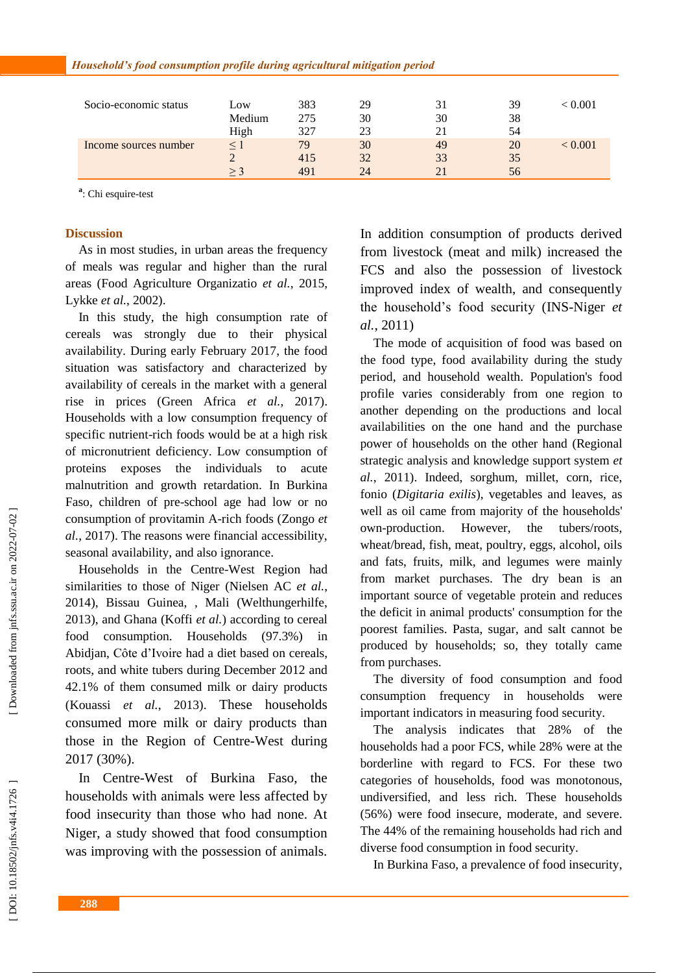| Socio-economic status | Low      | 383 | 29 | 31 | 39 | < 0.001 |
|-----------------------|----------|-----|----|----|----|---------|
|                       | Medium   | 275 | 30 | 30 | 38 |         |
|                       | High     | 327 | 23 |    | 54 |         |
| Income sources number | $\leq$ . | 79  | 30 | 49 | 20 | 0.001   |
|                       |          | 415 | 32 | 33 | 35 |         |
|                       | $>$ 3    | 491 | 24 |    | 56 |         |

<sup>a</sup>: Chi esquire-test

#### **Discussion**

As in most studies, in urban area s the frequency of meals was regular and higher than the rural area s (Food Agriculture Organizatio *et al.*, 2015, Lykke *et al.*, 2002) .

In this study, the high consumption rate of cereals was strongly due to their physical availability. During early February 2017, the food situation was satisfactory and characterized by availability of cereals in the market with a general rise in prices (Green Africa *et al.*, 2017). Households with a low consumption frequency of specific nutrient-rich foods would be at a high risk of micronutrient deficiency. Low consumption of proteins exposes the individuals to acute malnutrition and growth retardation. In Burkina Faso, children of pre -school age had low or no consumption of provitamin A -rich food s (Zongo *et al.*, 2017). The reasons were financial accessibility, seasonal availability , and also ignorance.

Households in the Centre -West Region had similarities to those of Niger (Nielsen AC *et al.*, 2014), Bissau Guinea , , Mali (Welthungerhilfe, 2013) , and Ghana (Koffi *et al.* ) according to cereal food consumption. Households (97.3%) in Abidjan , Côte d'Ivoire had a diet based on cereals, roots , and white tubers during December 2012 and 42.1% of them consumed milk or dairy products (Kouassi *et al.*, 2013). These households consumed more milk or dairy products than those in the Region of Centre -West during 2017 (30%).

In Centre -West of Burkina Faso, the households with animals were less affected by food insecurity than those who had none. At Niger, a study showed that food consumption was improving with the possession of animals.

In addition consumption of products derived from livestock (meat and milk) increased the FCS and also the possession of livestock improved index of wealth, and consequently the household's food security (INS -Niger *et al.*, 2011)

The mode of acquisition of food was based on the food type, food availability during the study period , and household wealth. Population's food profile varies considerably from one region to another depending on the productions and local availabilities on the one hand and the purchas e power of households on the other hand (Regional strategic analysis and knowledge support system *et al.*, 2011) . Indeed, sorghum, millet, corn, rice, fonio (*Digitaria exilis* ), vegetables and leaves, as well as oil came from majority of the households' own-production. However, the tubers/roots, wheat/bread, fish, meat, poultry, eggs, alcohol, oils and fats, fruits, milk , and legumes were mainly from market purchases. The dry bean is an important source of vegetable protein and reduce s the deficit in animal products' consumption for the poorest families. Pasta, sugar , and salt cannot be produced by households; so, they totally came from purchases.

The diversity of food consumption and food consumption frequency in households were important indicators in measuring food security.

The analysis indicates that 28% of the households had a poor FCS, while 28% were at the borderline with regard to FCS. For these two categories of households, food was monotonous, undiversified , and less rich. These households (56%) were food insecure, moderate , and severe. The 44% of the remaining households had rich and diverse food consumption in food security.

In Burkina Faso, a prevalence of food insecurity,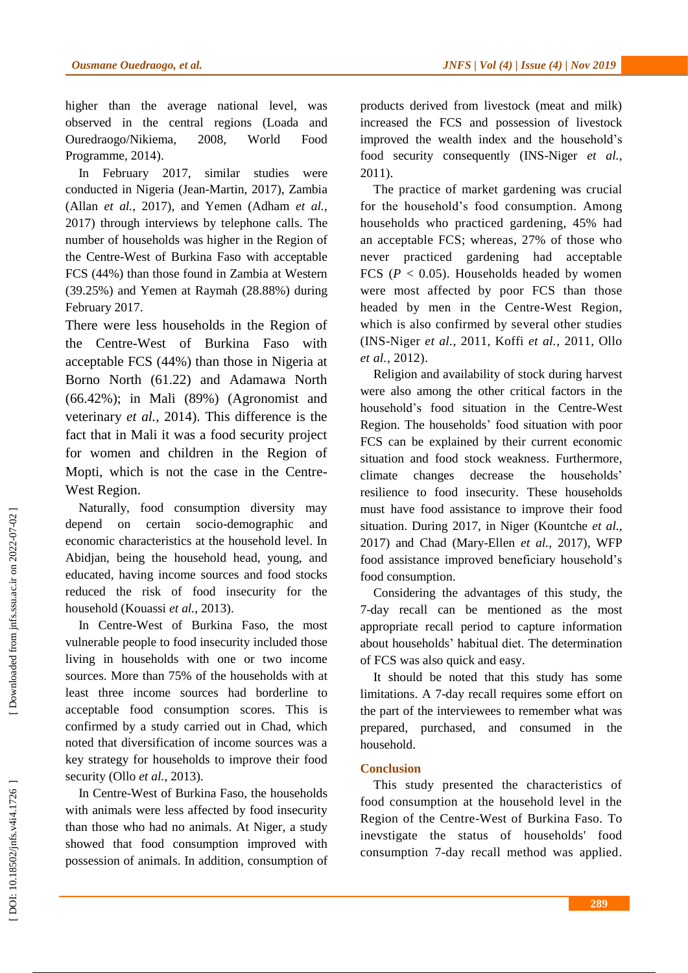higher than the average national level, was observed in the central regions (Loada and Ouredraogo/Nikiema, 2008, World Food Programme, 2014) .

In February 2017, similar studies were conducted in Nigeria (Jean -Martin, 2017), Zambia (Allan *et al.*, 2017) , and Yemen (Adham *et al.*, 2017) through interviews by telephone calls . The number of households was higher in the Region of the Centre -West of Burkina Faso with acceptable FCS (44%) than those found in Zambia at Western (39.25%) and Yemen at Raymah (28.88%) durin g February 2017.

There were less households in the Region of the Centre -West of Burkina Faso with acceptable FCS (44%) than those in Nigeria at Borno North (61.22) and Adamawa North (66.42%); in Mali (89%) (Agronomist and veterinary *et al.*, 2014). This difference is the fact that in Mali it was a food security project for women and children in the Region of Mopti, which is not the case in the Centre - West Region.

Naturally, food consumption diversity may depend on certain socio-demographic and economic characteristics at the household level. In Abidjan, being the household head, young, and educated, having income sources and food stocks reduced the risk of food insecurity for the household (Kouassi *et al.*, 2013).

In Centre -West of Burkina Faso, the most vulnerable people to food insecurity included those living in households with one or two income source s. More than 75% of the households with at least three income sources had borderline to acceptable food consumption score s. This is confirmed by a study carried out in Chad, which noted that diversification of income sources was a key strategy for households to improve their food security (Ollo et al., 2013).

In Centre -West of Burkina Faso, the households with animals were less affected by food insecurity than those who had no animals. At Niger , a study showed that food consumption improved with possession of animals. In addition , consumption of products derived from livestock (meat and milk) increased the FCS and possession of livestock improved the wealth index and the household's food security consequently (INS -Niger *et al.*, 2011).

The practice of market gardening was crucial for the household's food consumption. Among households who practiced gardening, 45% had an acceptable FCS; whereas, 27% of those who never practiced gardening had acceptable FCS  $(P < 0.05)$ . Households headed by women were most affected by poor FCS than those headed by men in the Centre -West Region, which is also confirmed by several other studies (INS -Niger *et al.*, 2011, Koffi *et al.*, 2011, Ollo *et al.*, 2012).

Religion and availability of stock during harvest were also among the other critical factors in the household's food situation in the Centre -West Region. The household s' food situation with poor FCS can be explained by their current economic situation and food stock weakness . Furthermore, climate changes decrease the households' resilience to food insecurity. These households must have food assistance to improve their food situation. During 2017, in Niger (Kountche *et al.*, 2017) and Chad (Mary -Ellen *et al.*, 2017) , WFP food assistance improve d beneficiary household's food consumption.

Considering the advantages of this study, the 7 -day recall can be mentioned as the most appropriate recall period to capture information about household s' habitual diet. The determination of FCS was also quick and easy.

It should be noted that this study has some limitations. A 7 -day recall requires some effort on the part of the interviewees to remember what was prepared , purchased , and consumed in the household.

## **Conclusion**

This study presented the characteristics of food consumption at the household level in the Region of the Centre-West of Burkina Faso. To inevstigate the status of households' food consumption 7 -day recall method was applied.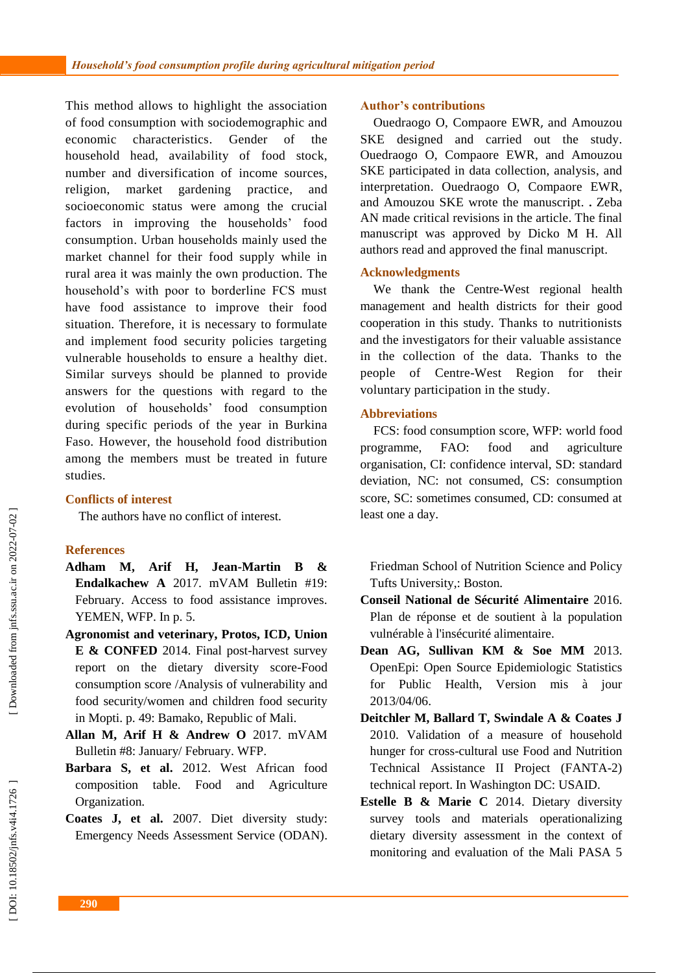This method allows to highlight the association of food consumption with sociodemographic and economic characteristics Gender of the household head, availability of food stock, number and diversification of income sources, religion, market gardening practice , and socioeconomic status were among the crucial factors in improving the households' food consumption. Urban households mainly used the market channel for their food supply while in rural area it was mainly the own production. The household's with poor to borderline FCS must have food assistance to improve their food situation. Therefore, it is necessary to formulate and implement food security policies targeting vulnerable households to ensure a healthy diet . Similar surveys should be planned to provide answers for the questions with regard to the evolution of households' food consumption during specific periods of the year in Burkina Faso . However, the household food distribution among the members must be treated in future studies.

## **Conflicts of interest**

The authors have no conflict of interest.

## **References**

- **Adham M, Arif H, Jean -Martin B & Endalkachew A** 2017. mVAM Bulletin #19: February. Access to food assistance improves. YEMEN, WFP. In p. 5.
- **Agronomist and veterinary, Protos, ICD, Union E & CONFED** 2014. Final post -harvest survey report on the dietary diversity score -Food consumption score /Analysis of vulnerability and food security/women and children food security in Mopti. p. 49: Bamako, Republic of Mali.
- **Allan M, Arif H & Andrew O** 2017. mVAM Bulletin #8: January/ February. WFP.
- **Barbara S, et al.** 2012. West African food composition table. Food and Agriculture Organization.
- **Coates J, et al.** 2007. Diet diversity study: Emergency Needs Assessment Service (ODAN).

## **Author's contributions**

Ouedraogo O, Compaore EW R, and Amouzou SKE designed and carried out the study. Ouedraogo O, Compaore EW R , and Amouzou SKE participated in data collection, analysis , and interpretation. Ouedraogo O, Compaore EW R , and Amouzou SKE wrote the manuscript. **.** Zeba AN made critical revisions in the article. The final manuscript was approved by Dicko M H. All authors read and approved the final manuscript.

## **Acknowledgments**

We thank the Centre -West regional health management and health districts for their good cooperation in this study. Thanks to nutritionists and the investigators for their valuable assistance in the collection of the data. Thanks to the people of Centre -West Region for their voluntary participation in the study.

## **Abbreviations**

FCS: food consumption score, WFP: world food programme, FAO: food and agriculture organisation, CI: confidence interval, SD: standard deviation, NC: not consumed, CS: consumption score, SC: sometimes consumed, CD: consumed at least one a day.

Friedman School of Nutrition Science and Policy Tufts University,: Boston.

- **Conseil National de Sécurité Alimentaire** 2016. Plan de réponse et de soutient à la population vulnérable à l'insécurité alimentaire.
- **Dean AG, Sullivan KM & Soe MM** 2013. OpenEpi: Open Source Epidemiologic Statistics for Public Health, Version mis à jour 2013/04/06.
- **Deitchler M, Ballard T, Swindale A & Coates J**  2010. Validation of a measure of household hunger for cross -cultural use Food and Nutrition Technical Assistance II Project (FANTA -2) technical report. In Washington DC: USAID.
- **Estelle B & Marie C** 2014. Dietary diversity survey tools and materials operationalizing dietary diversity assessment in the context of monitoring and evaluation of the Mali PASA 5

Downloaded from jnfs.ssu.ac.ir on 2022-07-02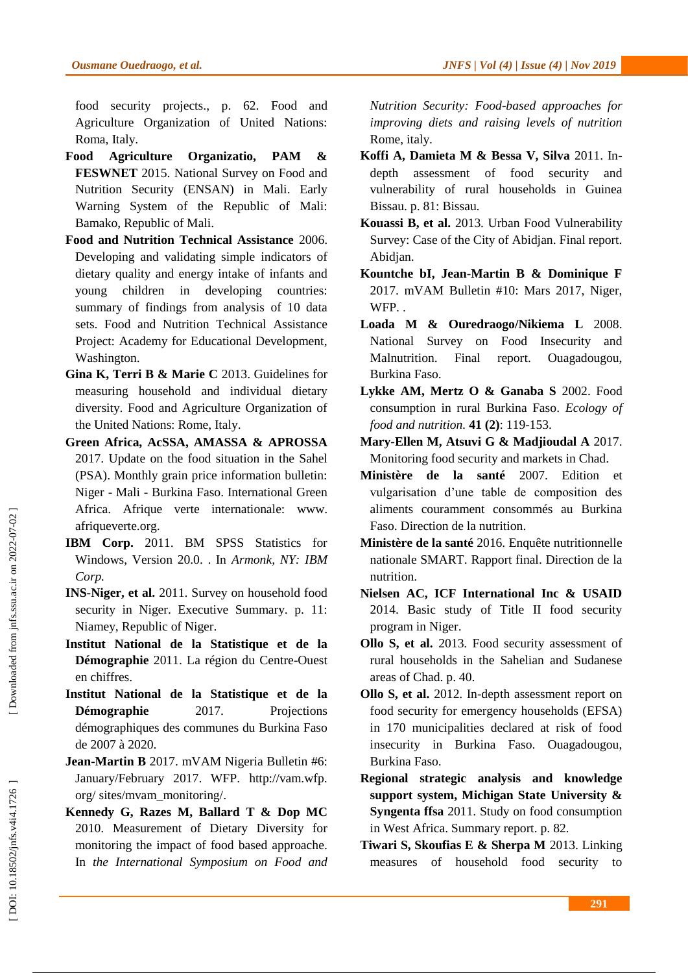food security projects., p. 62. Food and Agriculture Organization of United Nations: Roma, Italy.

- **Food Agriculture Organizatio, PAM & FESWNET** 2015. National Survey on Food and Nutrition Security (ENSAN) in Mali. Early Warning System of the Republic of Mali: Bamako, Republic of Mali.
- **Food and Nutrition Technical Assistance** 2006. Developing and validating simple indicators of dietary quality and energy intake of infants and young children in developing countries: summary of findings from analysis of 10 data sets. Food and Nutrition Technical Assistance Project: Academy for Educational Development, Washington.
- **Gina K, Terri B & Marie C** 2013. Guidelines for measuring household and individual dietary diversity. Food and Agriculture Organization of the United Nations: Rome, Italy.
- **Green Africa, AcSSA, AMASSA & APROSSA**  2017. Update on the food situation in the Sahel (PSA). Monthly grain price information bulletin: Niger - Mali - Burkina Faso. International Green Africa. Afrique verte internationale: www. afriqueverte.org .
- **IBM Corp.** 2011. BM SPSS Statistics for Windows, Version 20.0. . In *Armonk, NY: IBM Corp.*
- **INS -Niger, et al.** 2011. Survey on household food security in Niger. Executive Summary. p. 11: Niamey, Republic of Niger.
- **Institut National de la Statistique et de la**  Démographie 2011. La région du Centre-Ouest en chiffres.
- **Institut National de la Statistique et de la Démographie** 2017. Projections démographiques des communes du Burkina Faso de 2007 à 2020.
- **Jean -Martin B** 2017. mVAM Nigeria Bulletin #6: January/February 2017. WFP. http://vam.wfp. org/ sites/mvam\_monitoring/ .
- **Kennedy G, Razes M, Ballard T & Dop MC**  2010. Measurement of Dietary Diversity for monitoring the impact of food based approache. In *the International Symposium on Food and*

*Nutrition Security: Food -based approaches for improving diets and raising levels of nutrition*  Rome, italy.

- **Koffi A, Damieta M & Bessa V, Silva** 2011. In depth assessment of food security and vulnerability of rural households in Guinea Bissau. p. 81: Bissau.
- **Kouassi B, et al.** 2013. Urban Food Vulnerability Survey: Case of the City of Abidjan. Final report. Abidjan.
- **Kountche bI, Jean -Martin B & Dominique F**  2017. mVAM Bulletin #10: Mars 2017, Niger, WFP. .
- **Loada M & Ouredraogo/Nikiema L** 2008. National Survey on Food Insecurity and Malnutrition. Final report. Ouagadougou, Burkina Faso.
- **Lykke AM, Mertz O & Ganaba S** 2002. Food consumption in rural Burkina Faso. *Ecology of food and nutrition.* **41 (2)**: 119 -153.
- **Mary -Ellen M, Atsuvi G & Madjioudal A** 2017. Monitoring food security and markets in Chad.
- **Ministère de la santé** 2007. Edition et vulgarisation d'une table de composition des aliments couramment consommés au Burkina Faso. Direction de la nutrition.
- **Ministère de la santé** 2016. Enquête nutritionnelle nationale SMART. Rapport final. Direction de la nutrition.
- **Nielsen AC, ICF International Inc & USAID**  2014. Basic study of Title II food security program in Niger.
- **Ollo S, et al.** 2013. Food security assessment of rural households in the Sahelian and Sudanese areas of Chad. p. 40.
- **Ollo S, et al.** 2012. In -depth assessment report on food security for emergency households (EFSA) in 170 municipalities declared at risk of food insecurity in Burkina Faso. Ouagadougou, Burkina Faso.
- **Regional strategic analysis and knowledge support system, Michigan State University & Syngenta ffsa** 2011. Study on food consumption in West Africa. Summary report. p. 82.
- **Tiwari S, Skoufias E & Sherpa M** 2013. Linking measures of household food security to